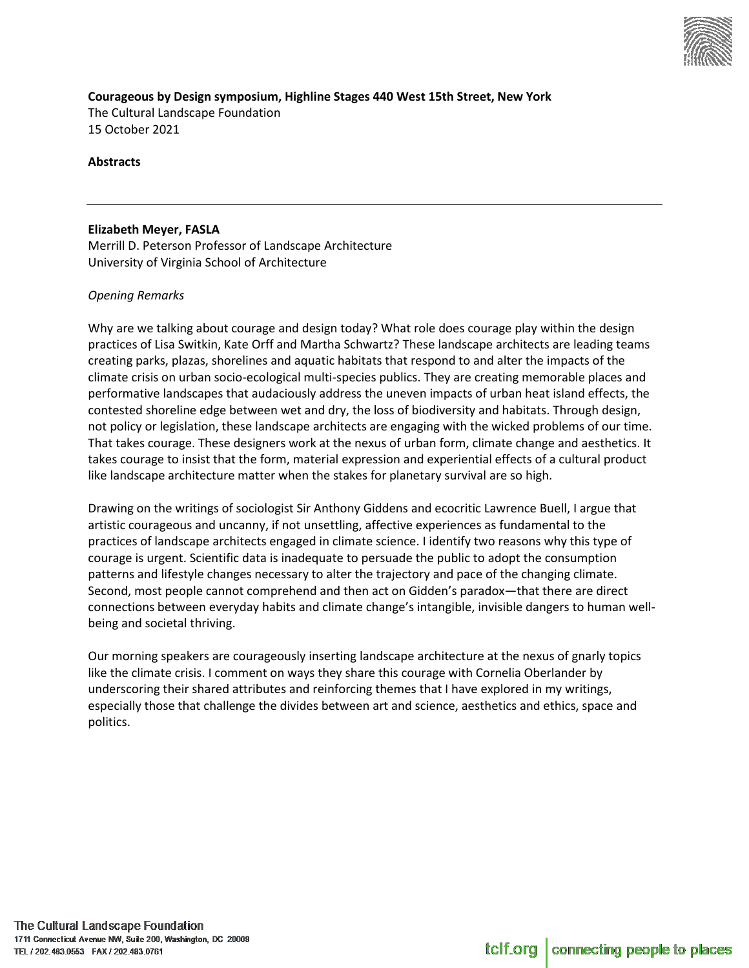

**Courageous by Design symposium, Highline Stages 440 West 15th Street, New York**  The Cultural Landscape Foundation 15 October 2021

**Abstracts**

#### **Elizabeth Meyer, FASLA**

Merrill D. Peterson Professor of Landscape Architecture University of Virginia School of Architecture

# *Opening Remarks*

Why are we talking about courage and design today? What role does courage play within the design practices of Lisa Switkin, Kate Orff and Martha Schwartz? These landscape architects are leading teams creating parks, plazas, shorelines and aquatic habitats that respond to and alter the impacts of the climate crisis on urban socio-ecological multi-species publics. They are creating memorable places and performative landscapes that audaciously address the uneven impacts of urban heat island effects, the contested shoreline edge between wet and dry, the loss of biodiversity and habitats. Through design, not policy or legislation, these landscape architects are engaging with the wicked problems of our time. That takes courage. These designers work at the nexus of urban form, climate change and aesthetics. It takes courage to insist that the form, material expression and experiential effects of a cultural product like landscape architecture matter when the stakes for planetary survival are so high.

Drawing on the writings of sociologist Sir Anthony Giddens and ecocritic Lawrence Buell, I argue that artistic courageous and uncanny, if not unsettling, affective experiences as fundamental to the practices of landscape architects engaged in climate science. I identify two reasons why this type of courage is urgent. Scientific data is inadequate to persuade the public to adopt the consumption patterns and lifestyle changes necessary to alter the trajectory and pace of the changing climate. Second, most people cannot comprehend and then act on Gidden's paradox—that there are direct connections between everyday habits and climate change's intangible, invisible dangers to human wellbeing and societal thriving.

Our morning speakers are courageously inserting landscape architecture at the nexus of gnarly topics like the climate crisis. I comment on ways they share this courage with Cornelia Oberlander by underscoring their shared attributes and reinforcing themes that I have explored in my writings, especially those that challenge the divides between art and science, aesthetics and ethics, space and politics.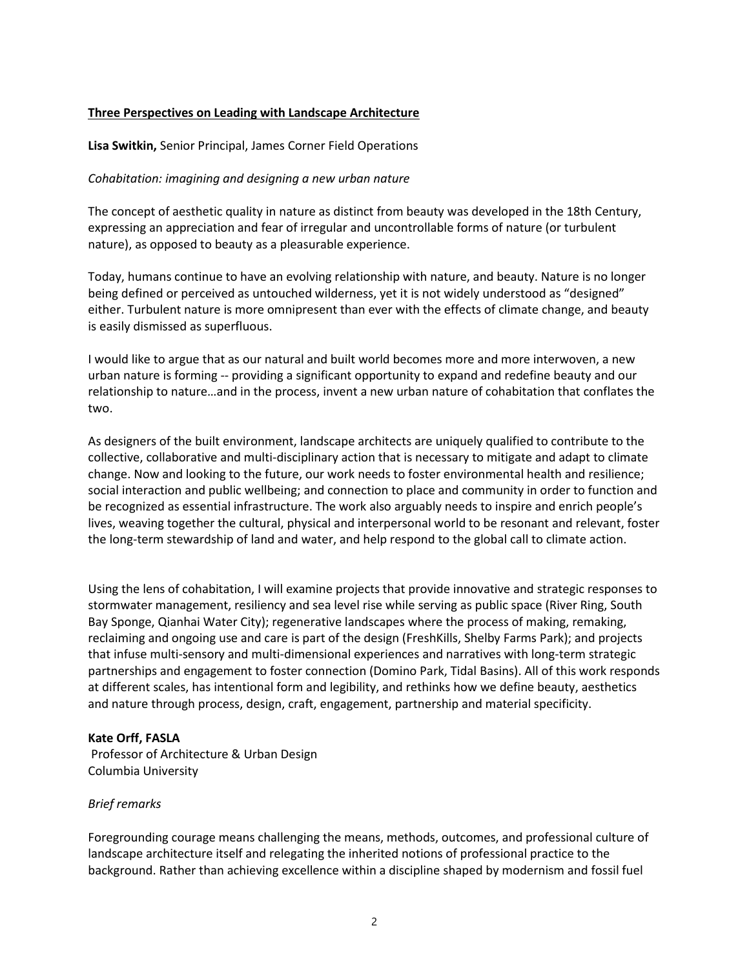# **Three Perspectives on Leading with Landscape Architecture**

**Lisa Switkin,** Senior Principal, James Corner Field Operations

# *Cohabitation: imagining and designing a new urban nature*

The concept of aesthetic quality in nature as distinct from beauty was developed in the 18th Century, expressing an appreciation and fear of irregular and uncontrollable forms of nature (or turbulent nature), as opposed to beauty as a pleasurable experience.

Today, humans continue to have an evolving relationship with nature, and beauty. Nature is no longer being defined or perceived as untouched wilderness, yet it is not widely understood as "designed" either. Turbulent nature is more omnipresent than ever with the effects of climate change, and beauty is easily dismissed as superfluous.

I would like to argue that as our natural and built world becomes more and more interwoven, a new urban nature is forming -- providing a significant opportunity to expand and redefine beauty and our relationship to nature…and in the process, invent a new urban nature of cohabitation that conflates the two.

As designers of the built environment, landscape architects are uniquely qualified to contribute to the collective, collaborative and multi-disciplinary action that is necessary to mitigate and adapt to climate change. Now and looking to the future, our work needs to foster environmental health and resilience; social interaction and public wellbeing; and connection to place and community in order to function and be recognized as essential infrastructure. The work also arguably needs to inspire and enrich people's lives, weaving together the cultural, physical and interpersonal world to be resonant and relevant, foster the long-term stewardship of land and water, and help respond to the global call to climate action.

Using the lens of cohabitation, I will examine projects that provide innovative and strategic responses to stormwater management, resiliency and sea level rise while serving as public space (River Ring, South Bay Sponge, Qianhai Water City); regenerative landscapes where the process of making, remaking, reclaiming and ongoing use and care is part of the design (FreshKills, Shelby Farms Park); and projects that infuse multi-sensory and multi-dimensional experiences and narratives with long-term strategic partnerships and engagement to foster connection (Domino Park, Tidal Basins). All of this work responds at different scales, has intentional form and legibility, and rethinks how we define beauty, aesthetics and nature through process, design, craft, engagement, partnership and material specificity.

# **Kate Orff, FASLA**

Professor of Architecture & Urban Design Columbia University

# *Brief remarks*

Foregrounding courage means challenging the means, methods, outcomes, and professional culture of landscape architecture itself and relegating the inherited notions of professional practice to the background. Rather than achieving excellence within a discipline shaped by modernism and fossil fuel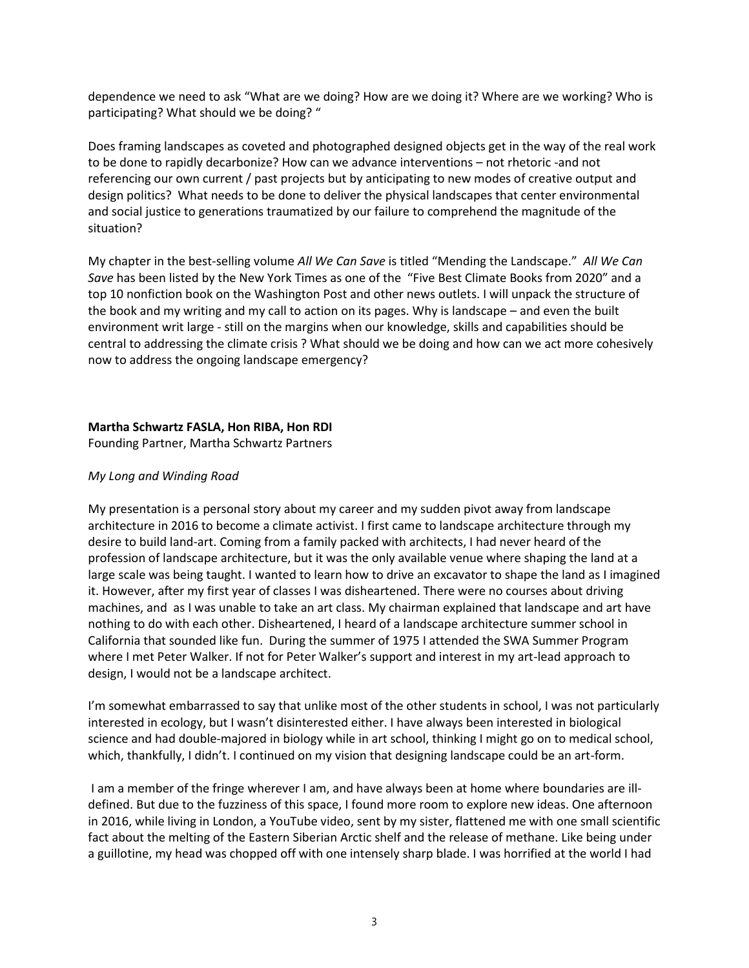dependence we need to ask "What are we doing? How are we doing it? Where are we working? Who is participating? What should we be doing? "

Does framing landscapes as coveted and photographed designed objects get in the way of the real work to be done to rapidly decarbonize? How can we advance interventions – not rhetoric -and not referencing our own current / past projects but by anticipating to new modes of creative output and design politics? What needs to be done to deliver the physical landscapes that center environmental and social justice to generations traumatized by our failure to comprehend the magnitude of the situation?

My chapter in the best-selling volume *All We Can Save* is titled "Mending the Landscape." *All We Can Save* has been listed by the New York Times as one of the "Five Best Climate Books from 2020" and a top 10 nonfiction book on the Washington Post and other news outlets. I will unpack the structure of the book and my writing and my call to action on its pages. Why is landscape – and even the built environment writ large - still on the margins when our knowledge, skills and capabilities should be central to addressing the climate crisis ? What should we be doing and how can we act more cohesively now to address the ongoing landscape emergency?

# **Martha Schwartz FASLA, Hon RIBA, Hon RDI**

Founding Partner, Martha Schwartz Partners

# *My Long and Winding Road*

My presentation is a personal story about my career and my sudden pivot away from landscape architecture in 2016 to become a climate activist. I first came to landscape architecture through my desire to build land-art. Coming from a family packed with architects, I had never heard of the profession of landscape architecture, but it was the only available venue where shaping the land at a large scale was being taught. I wanted to learn how to drive an excavator to shape the land as I imagined it. However, after my first year of classes I was disheartened. There were no courses about driving machines, and as I was unable to take an art class. My chairman explained that landscape and art have nothing to do with each other. Disheartened, I heard of a landscape architecture summer school in California that sounded like fun. During the summer of 1975 I attended the SWA Summer Program where I met Peter Walker. If not for Peter Walker's support and interest in my art-lead approach to design, I would not be a landscape architect.

I'm somewhat embarrassed to say that unlike most of the other students in school, I was not particularly interested in ecology, but I wasn't disinterested either. I have always been interested in biological science and had double-majored in biology while in art school, thinking I might go on to medical school, which, thankfully, I didn't. I continued on my vision that designing landscape could be an art-form.

I am a member of the fringe wherever I am, and have always been at home where boundaries are illdefined. But due to the fuzziness of this space, I found more room to explore new ideas. One afternoon in 2016, while living in London, a YouTube video, sent by my sister, flattened me with one small scientific fact about the melting of the Eastern Siberian Arctic shelf and the release of methane. Like being under a guillotine, my head was chopped off with one intensely sharp blade. I was horrified at the world I had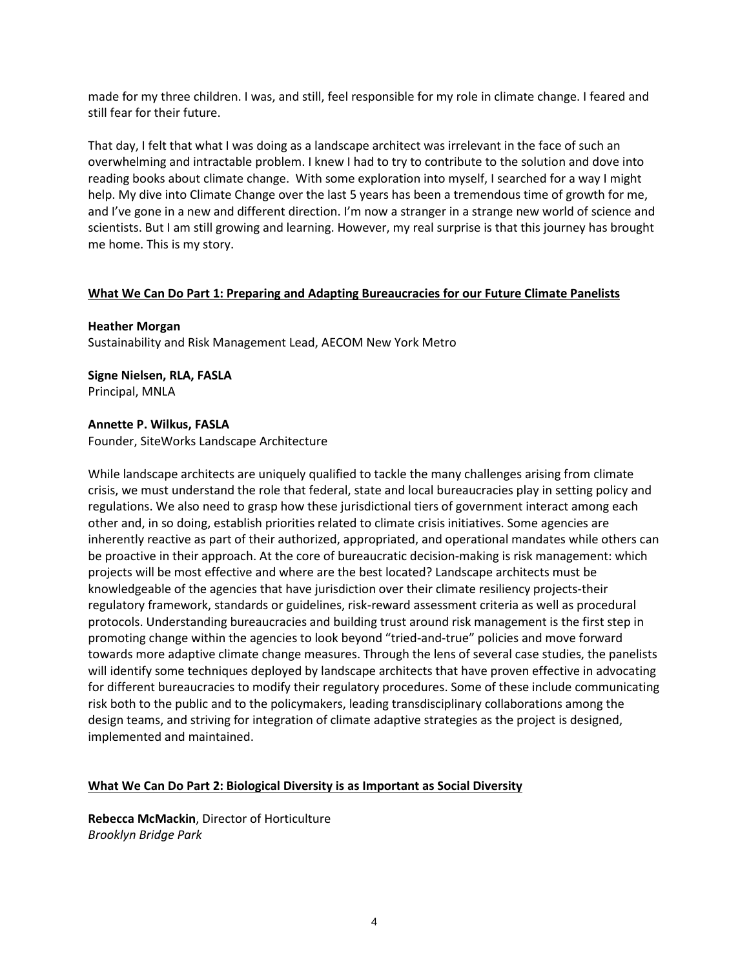made for my three children. I was, and still, feel responsible for my role in climate change. I feared and still fear for their future.

That day, I felt that what I was doing as a landscape architect was irrelevant in the face of such an overwhelming and intractable problem. I knew I had to try to contribute to the solution and dove into reading books about climate change. With some exploration into myself, I searched for a way I might help. My dive into Climate Change over the last 5 years has been a tremendous time of growth for me, and I've gone in a new and different direction. I'm now a stranger in a strange new world of science and scientists. But I am still growing and learning. However, my real surprise is that this journey has brought me home. This is my story.

# **What We Can Do Part 1: Preparing and Adapting Bureaucracies for our Future Climate Panelists**

**Heather Morgan** Sustainability and Risk Management Lead, AECOM New York Metro

**Signe Nielsen, RLA, FASLA** Principal, MNLA

#### **Annette P. Wilkus, FASLA**

Founder, SiteWorks Landscape Architecture

While landscape architects are uniquely qualified to tackle the many challenges arising from climate crisis, we must understand the role that federal, state and local bureaucracies play in setting policy and regulations. We also need to grasp how these jurisdictional tiers of government interact among each other and, in so doing, establish priorities related to climate crisis initiatives. Some agencies are inherently reactive as part of their authorized, appropriated, and operational mandates while others can be proactive in their approach. At the core of bureaucratic decision-making is risk management: which projects will be most effective and where are the best located? Landscape architects must be knowledgeable of the agencies that have jurisdiction over their climate resiliency projects-their regulatory framework, standards or guidelines, risk-reward assessment criteria as well as procedural protocols. Understanding bureaucracies and building trust around risk management is the first step in promoting change within the agencies to look beyond "tried-and-true" policies and move forward towards more adaptive climate change measures. Through the lens of several case studies, the panelists will identify some techniques deployed by landscape architects that have proven effective in advocating for different bureaucracies to modify their regulatory procedures. Some of these include communicating risk both to the public and to the policymakers, leading transdisciplinary collaborations among the design teams, and striving for integration of climate adaptive strategies as the project is designed, implemented and maintained.

# **What We Can Do Part 2: Biological Diversity is as Important as Social Diversity**

**Rebecca McMackin**, Director of Horticulture *Brooklyn Bridge Park*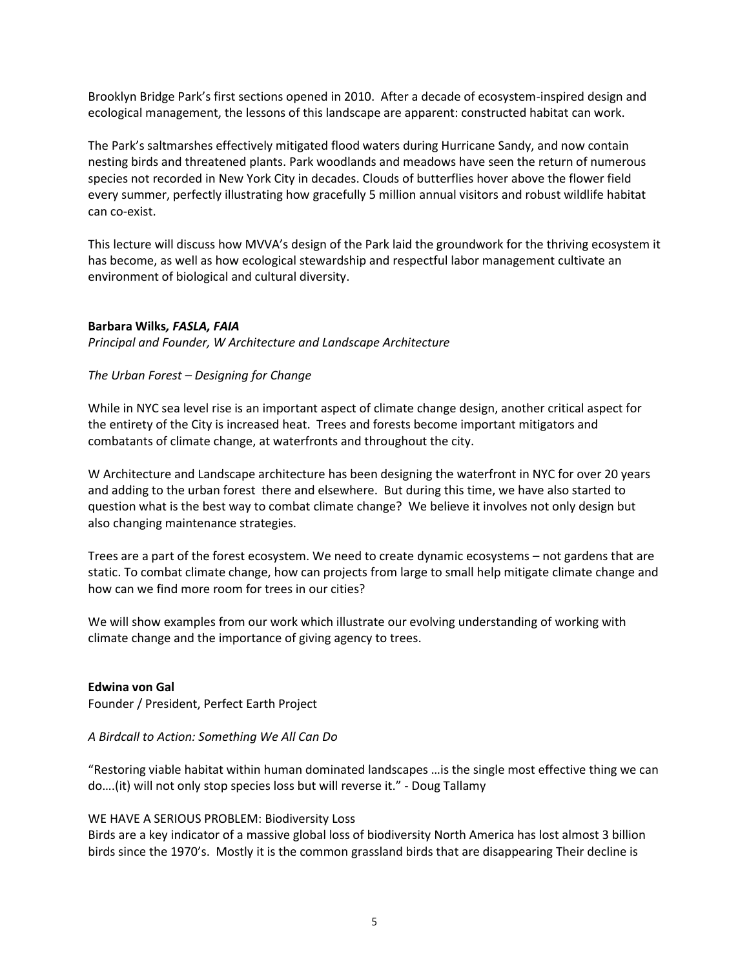Brooklyn Bridge Park's first sections opened in 2010. After a decade of ecosystem-inspired design and ecological management, the lessons of this landscape are apparent: constructed habitat can work.

The Park's saltmarshes effectively mitigated flood waters during Hurricane Sandy, and now contain nesting birds and threatened plants. Park woodlands and meadows have seen the return of numerous species not recorded in New York City in decades. Clouds of butterflies hover above the flower field every summer, perfectly illustrating how gracefully 5 million annual visitors and robust wildlife habitat can co-exist.

This lecture will discuss how MVVA's design of the Park laid the groundwork for the thriving ecosystem it has become, as well as how ecological stewardship and respectful labor management cultivate an environment of biological and cultural diversity.

# **Barbara Wilks***, FASLA, FAIA*

*Principal and Founder, W Architecture and Landscape Architecture*

#### *The Urban Forest – Designing for Change*

While in NYC sea level rise is an important aspect of climate change design, another critical aspect for the entirety of the City is increased heat. Trees and forests become important mitigators and combatants of climate change, at waterfronts and throughout the city.

W Architecture and Landscape architecture has been designing the waterfront in NYC for over 20 years and adding to the urban forest there and elsewhere. But during this time, we have also started to question what is the best way to combat climate change? We believe it involves not only design but also changing maintenance strategies.

Trees are a part of the forest ecosystem. We need to create dynamic ecosystems – not gardens that are static. To combat climate change, how can projects from large to small help mitigate climate change and how can we find more room for trees in our cities?

We will show examples from our work which illustrate our evolving understanding of working with climate change and the importance of giving agency to trees.

# **Edwina von Gal**

Founder / President, Perfect Earth Project

# *A Birdcall to Action: Something We All Can Do*

"Restoring viable habitat within human dominated landscapes …is the single most effective thing we can do….(it) will not only stop species loss but will reverse it." - Doug Tallamy

# WE HAVE A SERIOUS PROBLEM: Biodiversity Loss

Birds are a key indicator of a massive global loss of biodiversity North America has lost almost 3 billion birds since the 1970's. Mostly it is the common grassland birds that are disappearing Their decline is